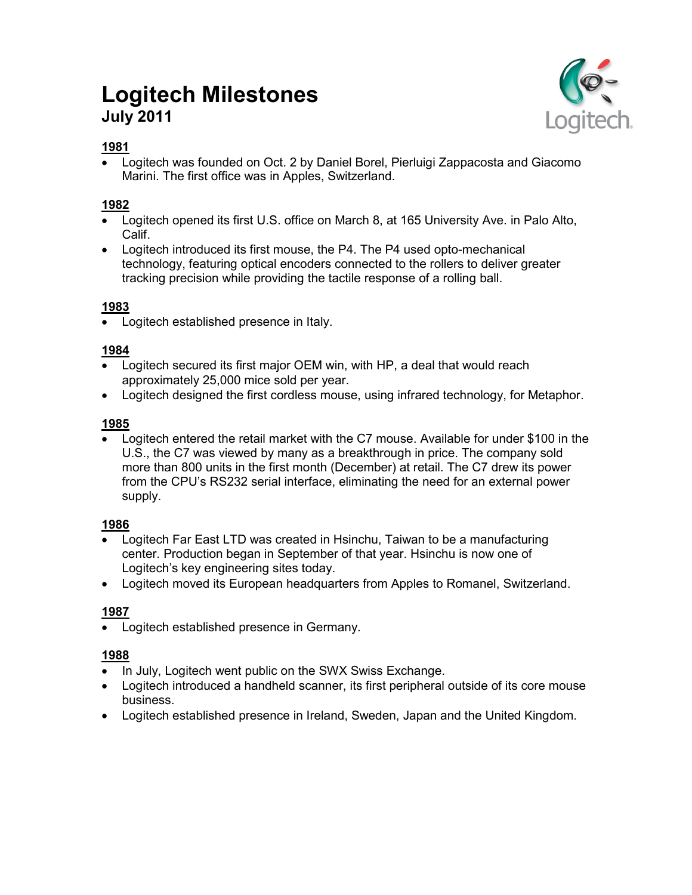# **Logitech Milestones July 2011**



# **1981**

 Logitech was founded on Oct. 2 by Daniel Borel, Pierluigi Zappacosta and Giacomo Marini. The first office was in Apples, Switzerland.

# **1982**

- Logitech opened its first U.S. office on March 8, at 165 University Ave. in Palo Alto, Calif.
- Logitech introduced its first mouse, the P4. The P4 used opto-mechanical technology, featuring optical encoders connected to the rollers to deliver greater tracking precision while providing the tactile response of a rolling ball.

## **1983**

• Logitech established presence in Italy.

## **1984**

- Logitech secured its first major OEM win, with HP, a deal that would reach approximately 25,000 mice sold per year.
- Logitech designed the first cordless mouse, using infrared technology, for Metaphor.

## **1985**

 Logitech entered the retail market with the C7 mouse. Available for under \$100 in the U.S., the C7 was viewed by many as a breakthrough in price. The company sold more than 800 units in the first month (December) at retail. The C7 drew its power from the CPU's RS232 serial interface, eliminating the need for an external power supply.

## **1986**

- Logitech Far East LTD was created in Hsinchu, Taiwan to be a manufacturing center. Production began in September of that year. Hsinchu is now one of Logitech's key engineering sites today.
- Logitech moved its European headquarters from Apples to Romanel, Switzerland.

# **1987**

Logitech established presence in Germany.

- In July, Logitech went public on the SWX Swiss Exchange.
- Logitech introduced a handheld scanner, its first peripheral outside of its core mouse business.
- Logitech established presence in Ireland, Sweden, Japan and the United Kingdom.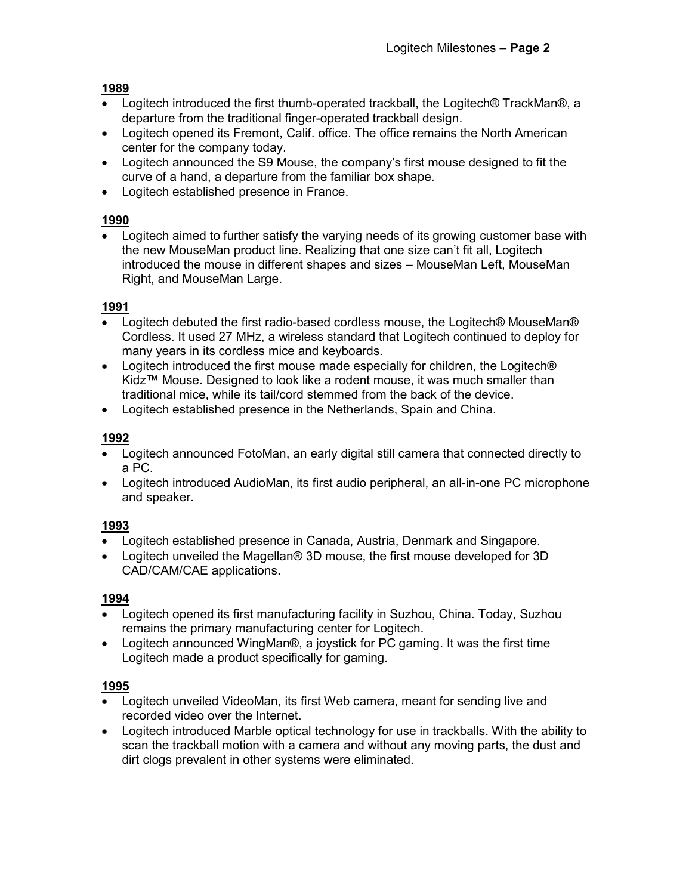- Logitech introduced the first thumb-operated trackball, the Logitech® TrackMan®, a departure from the traditional finger-operated trackball design.
- Logitech opened its Fremont, Calif. office. The office remains the North American center for the company today.
- Logitech announced the S9 Mouse, the company's first mouse designed to fit the curve of a hand, a departure from the familiar box shape.
- Logitech established presence in France.

## **1990**

 Logitech aimed to further satisfy the varying needs of its growing customer base with the new MouseMan product line. Realizing that one size can't fit all, Logitech introduced the mouse in different shapes and sizes – MouseMan Left, MouseMan Right, and MouseMan Large.

## **1991**

- Logitech debuted the first radio-based cordless mouse, the Logitech<sup>®</sup> MouseMan<sup>®</sup> Cordless. It used 27 MHz, a wireless standard that Logitech continued to deploy for many years in its cordless mice and keyboards.
- Logitech introduced the first mouse made especially for children, the Logitech® Kidz™ Mouse. Designed to look like a rodent mouse, it was much smaller than traditional mice, while its tail/cord stemmed from the back of the device.
- Logitech established presence in the Netherlands, Spain and China.

# **1992**

- Logitech announced FotoMan, an early digital still camera that connected directly to a PC.
- Logitech introduced AudioMan, its first audio peripheral, an all-in-one PC microphone and speaker.

# **1993**

- Logitech established presence in Canada, Austria, Denmark and Singapore.
- Logitech unveiled the Magellan® 3D mouse, the first mouse developed for 3D CAD/CAM/CAE applications.

## **1994**

- Logitech opened its first manufacturing facility in Suzhou, China. Today, Suzhou remains the primary manufacturing center for Logitech.
- Logitech announced WingMan®, a joystick for PC gaming. It was the first time Logitech made a product specifically for gaming.

- Logitech unveiled VideoMan, its first Web camera, meant for sending live and recorded video over the Internet.
- Logitech introduced Marble optical technology for use in trackballs. With the ability to scan the trackball motion with a camera and without any moving parts, the dust and dirt clogs prevalent in other systems were eliminated.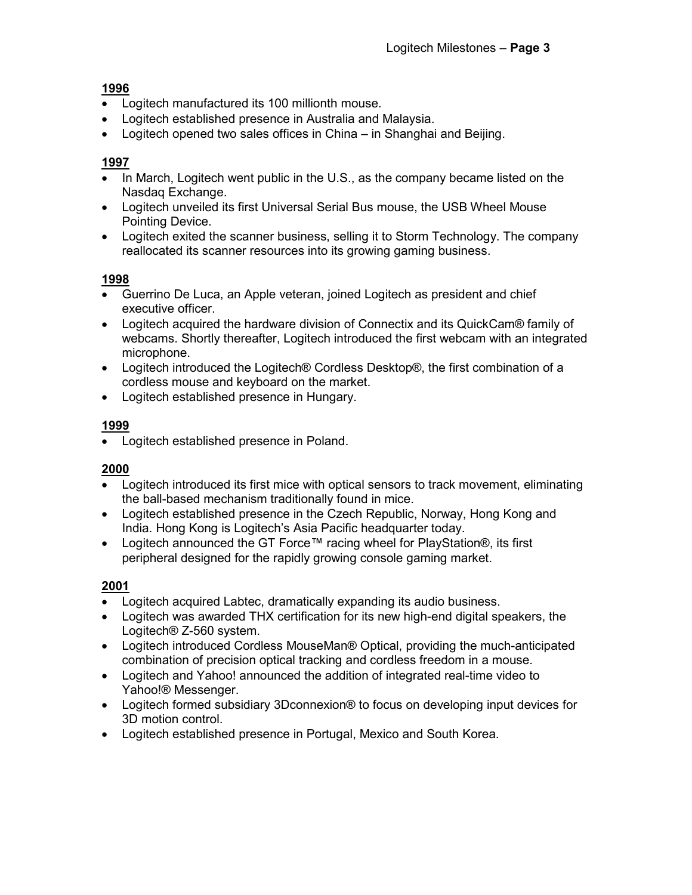- Logitech manufactured its 100 millionth mouse.
- Logitech established presence in Australia and Malaysia.
- Logitech opened two sales offices in China in Shanghai and Beijing.

#### **1997**

- In March, Logitech went public in the U.S., as the company became listed on the Nasdaq Exchange.
- Logitech unveiled its first Universal Serial Bus mouse, the USB Wheel Mouse Pointing Device.
- Logitech exited the scanner business, selling it to Storm Technology. The company reallocated its scanner resources into its growing gaming business.

#### **1998**

- Guerrino De Luca, an Apple veteran, joined Logitech as president and chief executive officer.
- Logitech acquired the hardware division of Connectix and its QuickCam<sup>®</sup> family of webcams. Shortly thereafter, Logitech introduced the first webcam with an integrated microphone.
- Logitech introduced the Logitech® Cordless Desktop®, the first combination of a cordless mouse and keyboard on the market.
- Logitech established presence in Hungary.

## **1999**

Logitech established presence in Poland.

#### **2000**

- Logitech introduced its first mice with optical sensors to track movement, eliminating the ball-based mechanism traditionally found in mice.
- Logitech established presence in the Czech Republic, Norway, Hong Kong and India. Hong Kong is Logitech's Asia Pacific headquarter today.
- Logitech announced the GT Force™ racing wheel for PlayStation®, its first peripheral designed for the rapidly growing console gaming market.

- Logitech acquired Labtec, dramatically expanding its audio business.
- Logitech was awarded THX certification for its new high-end digital speakers, the Logitech® Z-560 system.
- Logitech introduced Cordless MouseMan® Optical, providing the much-anticipated combination of precision optical tracking and cordless freedom in a mouse.
- Logitech and Yahoo! announced the addition of integrated real-time video to Yahoo!® Messenger.
- Logitech formed subsidiary 3Dconnexion® to focus on developing input devices for 3D motion control.
- Logitech established presence in Portugal, Mexico and South Korea.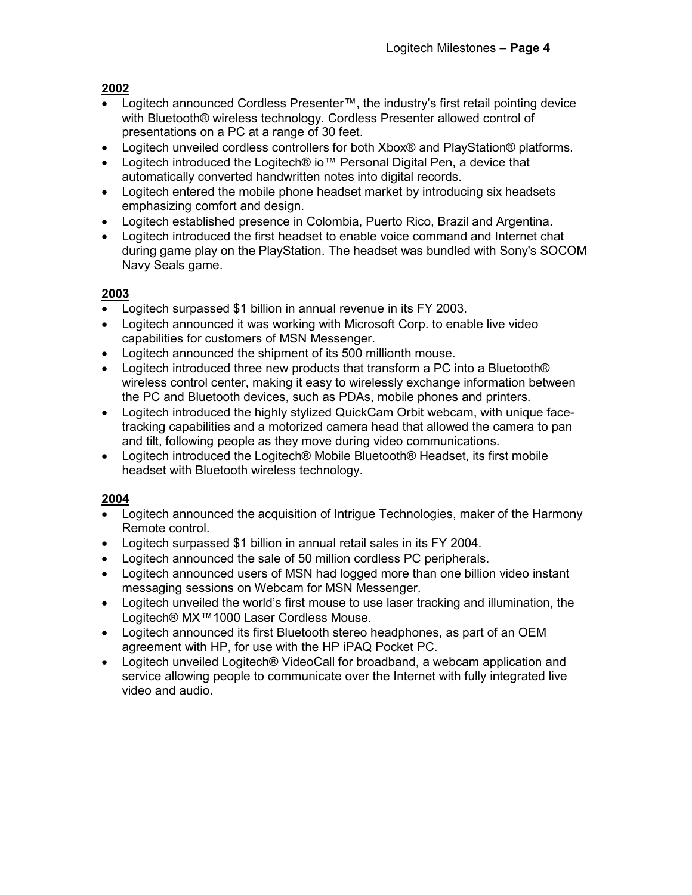- Logitech announced Cordless Presenter™, the industry's first retail pointing device with Bluetooth® wireless technology. Cordless Presenter allowed control of presentations on a PC at a range of 30 feet.
- Logitech unveiled cordless controllers for both Xbox® and PlayStation® platforms.
- Logitech introduced the Logitech® io™ Personal Digital Pen, a device that automatically converted handwritten notes into digital records.
- Logitech entered the mobile phone headset market by introducing six headsets emphasizing comfort and design.
- Logitech established presence in Colombia, Puerto Rico, Brazil and Argentina.
- Logitech introduced the first headset to enable voice command and Internet chat during game play on the PlayStation. The headset was bundled with Sony's SOCOM Navy Seals game.

## **2003**

- Logitech surpassed \$1 billion in annual revenue in its FY 2003.
- Logitech announced it was working with Microsoft Corp. to enable live video capabilities for customers of MSN Messenger.
- Logitech announced the shipment of its 500 millionth mouse.
- Logitech introduced three new products that transform a PC into a Bluetooth® wireless control center, making it easy to wirelessly exchange information between the PC and Bluetooth devices, such as PDAs, mobile phones and printers.
- Logitech introduced the highly stylized QuickCam Orbit webcam, with unique facetracking capabilities and a motorized camera head that allowed the camera to pan and tilt, following people as they move during video communications.
- Logitech introduced the Logitech® Mobile Bluetooth® Headset, its first mobile headset with Bluetooth wireless technology.

- Logitech announced the acquisition of Intrigue Technologies, maker of the Harmony Remote control.
- Logitech surpassed \$1 billion in annual retail sales in its FY 2004.
- Logitech announced the sale of 50 million cordless PC peripherals.
- Logitech announced users of MSN had logged more than one billion video instant messaging sessions on Webcam for MSN Messenger.
- Logitech unveiled the world's first mouse to use laser tracking and illumination, the Logitech® MX™1000 Laser Cordless Mouse.
- Logitech announced its first Bluetooth stereo headphones, as part of an OEM agreement with HP, for use with the HP iPAQ Pocket PC.
- Logitech unveiled Logitech® VideoCall for broadband, a webcam application and service allowing people to communicate over the Internet with fully integrated live video and audio.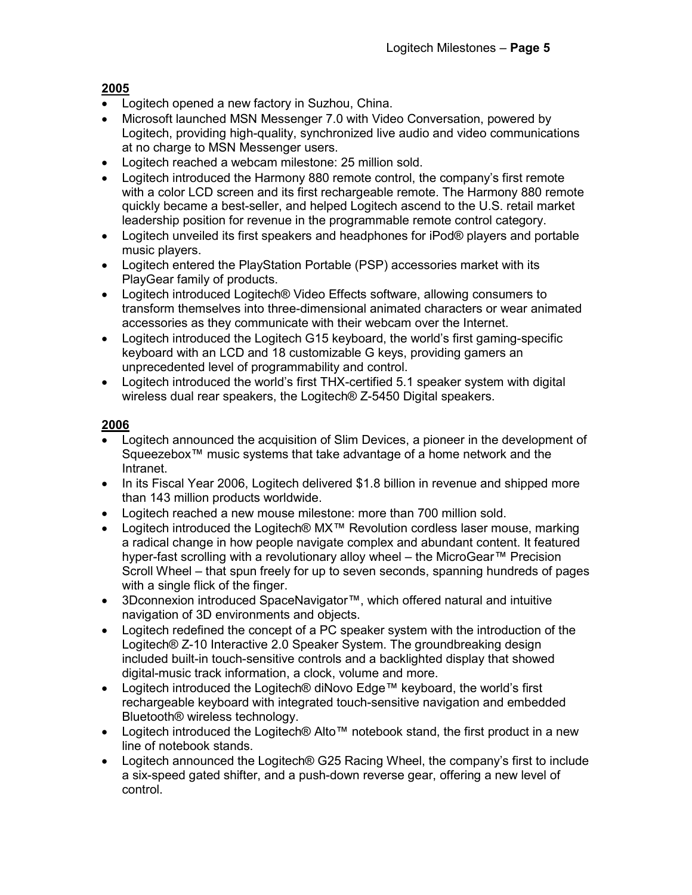- Logitech opened a new factory in Suzhou, China.
- Microsoft launched MSN Messenger 7.0 with Video Conversation, powered by Logitech, providing high-quality, synchronized live audio and video communications at no charge to MSN Messenger users.
- Logitech reached a webcam milestone: 25 million sold.
- Logitech introduced the Harmony 880 remote control, the company's first remote with a color LCD screen and its first rechargeable remote. The Harmony 880 remote quickly became a best-seller, and helped Logitech ascend to the U.S. retail market leadership position for revenue in the programmable remote control category.
- Logitech unveiled its first speakers and headphones for iPod® players and portable music players.
- Logitech entered the PlayStation Portable (PSP) accessories market with its PlayGear family of products.
- Logitech introduced Logitech® Video Effects software, allowing consumers to transform themselves into three-dimensional animated characters or wear animated accessories as they communicate with their webcam over the Internet.
- Logitech introduced the Logitech G15 keyboard, the world's first gaming-specific keyboard with an LCD and 18 customizable G keys, providing gamers an unprecedented level of programmability and control.
- Logitech introduced the world's first THX-certified 5.1 speaker system with digital wireless dual rear speakers, the Logitech® Z-5450 Digital speakers.

- Logitech announced the acquisition of Slim Devices, a pioneer in the development of Squeezebox™ music systems that take advantage of a home network and the Intranet.
- In its Fiscal Year 2006, Logitech delivered \$1.8 billion in revenue and shipped more than 143 million products worldwide.
- Logitech reached a new mouse milestone: more than 700 million sold.
- Logitech introduced the Logitech® MX™ Revolution cordless laser mouse, marking a radical change in how people navigate complex and abundant content. It featured hyper-fast scrolling with a revolutionary alloy wheel – the MicroGear™ Precision Scroll Wheel – that spun freely for up to seven seconds, spanning hundreds of pages with a single flick of the finger.
- 3D connexion introduced SpaceNavigator<sup>™</sup>, which offered natural and intuitive navigation of 3D environments and objects.
- Logitech redefined the concept of a PC speaker system with the introduction of the Logitech® Z-10 Interactive 2.0 Speaker System. The groundbreaking design included built-in touch-sensitive controls and a backlighted display that showed digital-music track information, a clock, volume and more.
- Logitech introduced the Logitech® diNovo Edge™ keyboard, the world's first rechargeable keyboard with integrated touch-sensitive navigation and embedded Bluetooth® wireless technology.
- Logitech introduced the Logitech® Alto<sup>™</sup> notebook stand, the first product in a new line of notebook stands.
- Logitech announced the Logitech® G25 Racing Wheel, the company's first to include a six-speed gated shifter, and a push-down reverse gear, offering a new level of control.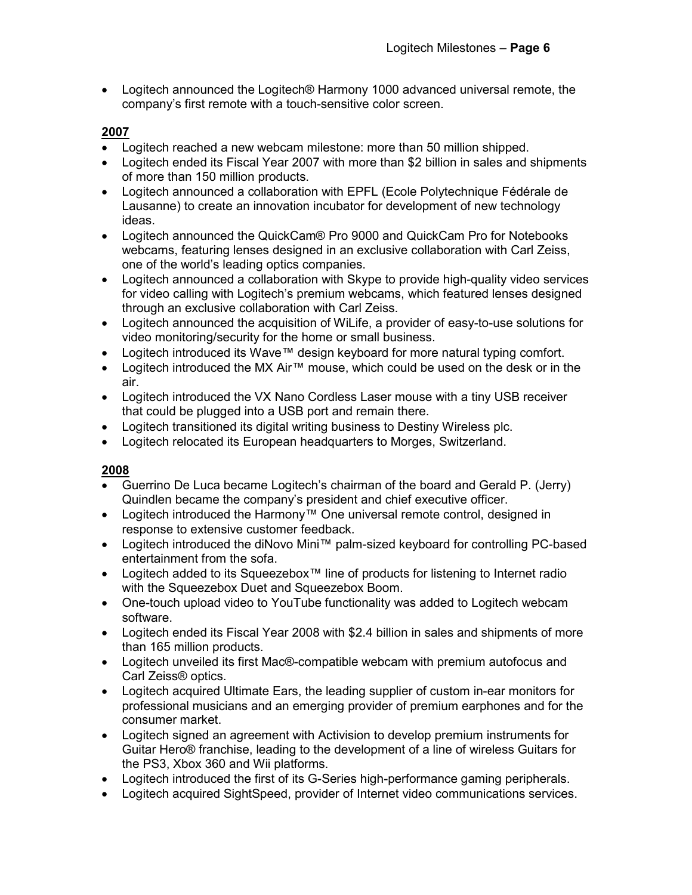Logitech announced the Logitech® Harmony 1000 advanced universal remote, the company's first remote with a touch-sensitive color screen.

#### **2007**

- Logitech reached a new webcam milestone: more than 50 million shipped.
- Logitech ended its Fiscal Year 2007 with more than \$2 billion in sales and shipments of more than 150 million products.
- Logitech announced a collaboration with EPFL (Ecole Polytechnique Fédérale de Lausanne) to create an innovation incubator for development of new technology ideas.
- Logitech announced the QuickCam® Pro 9000 and QuickCam Pro for Notebooks webcams, featuring lenses designed in an exclusive collaboration with Carl Zeiss, one of the world's leading optics companies.
- Logitech announced a collaboration with Skype to provide high-quality video services for video calling with Logitech's premium webcams, which featured lenses designed through an exclusive collaboration with Carl Zeiss.
- Logitech announced the acquisition of WiLife, a provider of easy-to-use solutions for video monitoring/security for the home or small business.
- Logitech introduced its Wave™ design keyboard for more natural typing comfort.
- Logitech introduced the MX Air™ mouse, which could be used on the desk or in the air.
- Logitech introduced the VX Nano Cordless Laser mouse with a tiny USB receiver that could be plugged into a USB port and remain there.
- Logitech transitioned its digital writing business to Destiny Wireless plc.
- Logitech relocated its European headquarters to Morges, Switzerland.

- Guerrino De Luca became Logitech's chairman of the board and Gerald P. (Jerry) Quindlen became the company's president and chief executive officer.
- Logitech introduced the Harmony™ One universal remote control, designed in response to extensive customer feedback.
- Logitech introduced the diNovo Mini™ palm-sized keyboard for controlling PC-based entertainment from the sofa.
- Logitech added to its Squeezebox<sup>™</sup> line of products for listening to Internet radio with the Squeezebox Duet and Squeezebox Boom.
- One-touch upload video to YouTube functionality was added to Logitech webcam software.
- Logitech ended its Fiscal Year 2008 with \$2.4 billion in sales and shipments of more than 165 million products.
- Logitech unveiled its first Mac®-compatible webcam with premium autofocus and Carl Zeiss® optics.
- Logitech acquired Ultimate Ears, the leading supplier of custom in-ear monitors for professional musicians and an emerging provider of premium earphones and for the consumer market.
- Logitech signed an agreement with Activision to develop premium instruments for Guitar Hero® franchise, leading to the development of a line of wireless Guitars for the PS3, Xbox 360 and Wii platforms.
- Logitech introduced the first of its G-Series high-performance gaming peripherals.
- Logitech acquired SightSpeed, provider of Internet video communications services.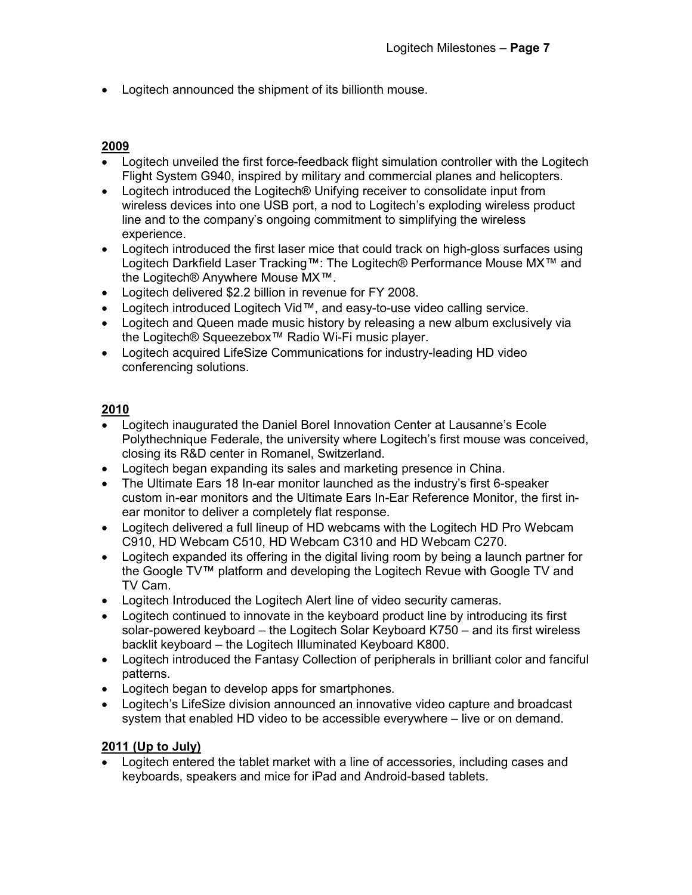Logitech announced the shipment of its billionth mouse.

#### **2009**

- Logitech unveiled the first force-feedback flight simulation controller with the Logitech Flight System G940, inspired by military and commercial planes and helicopters.
- Logitech introduced the Logitech® Unifying receiver to consolidate input from wireless devices into one USB port, a nod to Logitech's exploding wireless product line and to the company's ongoing commitment to simplifying the wireless experience.
- Logitech introduced the first laser mice that could track on high-gloss surfaces using Logitech Darkfield Laser Tracking™: The Logitech® Performance Mouse MX™ and the Logitech® Anywhere Mouse MX™.
- Logitech delivered \$2.2 billion in revenue for FY 2008.
- Logitech introduced Logitech Vid™, and easy-to-use video calling service.
- Logitech and Queen made music history by releasing a new album exclusively via the Logitech® Squeezebox™ Radio Wi-Fi music player.
- Logitech acquired LifeSize Communications for industry-leading HD video conferencing solutions.

#### **2010**

- Logitech inaugurated the Daniel Borel Innovation Center at Lausanne's Ecole Polythechnique Federale, the university where Logitech's first mouse was conceived, closing its R&D center in Romanel, Switzerland.
- Logitech began expanding its sales and marketing presence in China.
- The Ultimate Ears 18 In-ear monitor launched as the industry's first 6-speaker custom in-ear monitors and the Ultimate Ears In-Ear Reference Monitor, the first inear monitor to deliver a completely flat response.
- Logitech delivered a full lineup of HD webcams with the Logitech HD Pro Webcam C910, HD Webcam C510, HD Webcam C310 and HD Webcam C270.
- Logitech expanded its offering in the digital living room by being a launch partner for the Google TV™ platform and developing the Logitech Revue with Google TV and TV Cam.
- Logitech Introduced the Logitech Alert line of video security cameras.
- Logitech continued to innovate in the keyboard product line by introducing its first solar-powered keyboard – the Logitech Solar Keyboard K750 – and its first wireless backlit keyboard – the Logitech Illuminated Keyboard K800.
- Logitech introduced the Fantasy Collection of peripherals in brilliant color and fanciful patterns.
- Logitech began to develop apps for smartphones.
- Logitech's LifeSize division announced an innovative video capture and broadcast system that enabled HD video to be accessible everywhere – live or on demand.

## **2011 (Up to July)**

 Logitech entered the tablet market with a line of accessories, including cases and keyboards, speakers and mice for iPad and Android-based tablets.